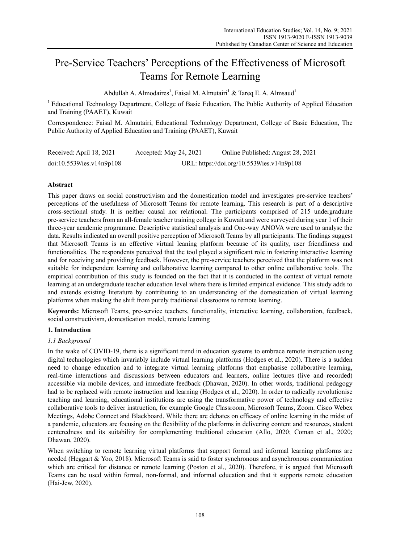# Pre-Service Teachers' Perceptions of the Effectiveness of Microsoft Teams for Remote Learning

Abdullah A. Almodaires<sup>1</sup>, Faisal M. Almutairi<sup>1</sup> & Tareq E. A. Almsaud<sup>1</sup>

<sup>1</sup> Educational Technology Department, College of Basic Education, The Public Authority of Applied Education and Training (PAAET), Kuwait

Correspondence: Faisal M. Almutairi, Educational Technology Department, College of Basic Education, The Public Authority of Applied Education and Training (PAAET), Kuwait

| Received: April 18, 2021  | Accepted: May 24, 2021 | Online Published: August 28, 2021          |
|---------------------------|------------------------|--------------------------------------------|
| doi:10.5539/ies.v14n9p108 |                        | URL: https://doi.org/10.5539/ies.v14n9p108 |

## **Abstract**

This paper draws on social constructivism and the domestication model and investigates pre-service teachers' perceptions of the usefulness of Microsoft Teams for remote learning. This research is part of a descriptive cross-sectional study. It is neither causal nor relational. The participants comprised of 215 undergraduate pre-service teachers from an all-female teacher training college in Kuwait and were surveyed during year 1 of their three-year academic programme. Descriptive statistical analysis and One-way ANOVA were used to analyse the data. Results indicated an overall positive perception of Microsoft Teams by all participants. The findings suggest that Microsoft Teams is an effective virtual leaning platform because of its quality, user friendliness and functionalities. The respondents perceived that the tool played a significant role in fostering interactive learning and for receiving and providing feedback. However, the pre-service teachers perceived that the platform was not suitable for independent learning and collaborative learning compared to other online collaborative tools. The empirical contribution of this study is founded on the fact that it is conducted in the context of virtual remote learning at an undergraduate teacher education level where there is limited empirical evidence. This study adds to and extends existing literature by contributing to an understanding of the domestication of virtual learning platforms when making the shift from purely traditional classrooms to remote learning.

**Keywords:** Microsoft Teams, pre-service teachers, functionality, interactive learning, collaboration, feedback, social constructivism, domestication model, remote learning

## **1. Introduction**

## *1.1 Background*

In the wake of COVID-19, there is a significant trend in education systems to embrace remote instruction using digital technologies which invariably include virtual learning platforms (Hodges et al., 2020). There is a sudden need to change education and to integrate virtual learning platforms that emphasise collaborative learning, real-time interactions and discussions between educators and learners, online lectures (live and recorded) accessible via mobile devices, and immediate feedback (Dhawan, 2020). In other words, traditional pedagogy had to be replaced with remote instruction and learning (Hodges et al., 2020). In order to radically revolutionise teaching and learning, educational institutions are using the transformative power of technology and effective collaborative tools to deliver instruction, for example Google Classroom, Microsoft Teams, Zoom. Cisco Webex Meetings, Adobe Connect and Blackboard. While there are debates on efficacy of online learning in the midst of a pandemic, educators are focusing on the flexibility of the platforms in delivering content and resources, student centeredness and its suitability for complementing traditional education (Allo, 2020; Coman et al., 2020; Dhawan, 2020).

When switching to remote learning virtual platforms that support formal and informal learning platforms are needed (Heggart & Yoo, 2018). Microsoft Teams is said to foster synchronous and asynchronous communication which are critical for distance or remote learning (Poston et al., 2020). Therefore, it is argued that Microsoft Teams can be used within formal, non-formal, and informal education and that it supports remote education (Hai-Jew, 2020).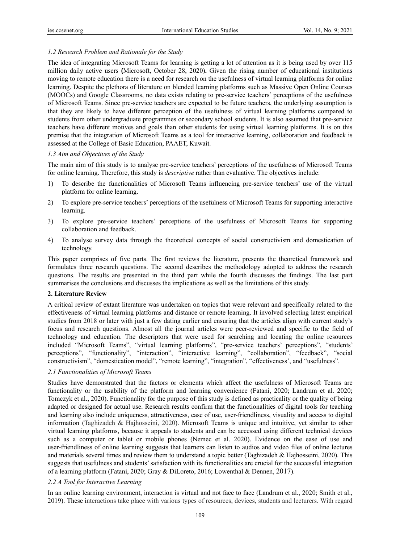# *1.2 Research Problem and Rationale for the Study*

The idea of integrating Microsoft Teams for learning is getting a lot of attention as it is being used by over 115 million daily active users **(**Microsoft, October 28, 2020)**.** Given the rising number of educational institutions moving to remote education there is a need for research on the usefulness of virtual learning platforms for online learning. Despite the plethora of literature on blended learning platforms such as Massive Open Online Courses (MOOCs) and Google Classrooms, no data exists relating to pre-service teachers' perceptions of the usefulness of Microsoft Teams. Since pre-service teachers are expected to be future teachers, the underlying assumption is that they are likely to have different perception of the usefulness of virtual learning platforms compared to students from other undergraduate programmes or secondary school students. It is also assumed that pre-service teachers have different motives and goals than other students for using virtual learning platforms. It is on this premise that the integration of Microsoft Teams as a tool for interactive learning, collaboration and feedback is assessed at the College of Basic Education, PAAET, Kuwait.

## *1.3 Aim and Objectives of the Study*

The main aim of this study is to analyse pre-service teachers' perceptions of the usefulness of Microsoft Teams for online learning. Therefore, this study is *descriptive* rather than evaluative. The objectives include:

- 1) To describe the functionalities of Microsoft Teams influencing pre-service teachers' use of the virtual platform for online learning.
- 2) To explore pre-service teachers' perceptions of the usefulness of Microsoft Teams for supporting interactive learning.
- 3) To explore pre-service teachers' perceptions of the usefulness of Microsoft Teams for supporting collaboration and feedback.
- 4) To analyse survey data through the theoretical concepts of social constructivism and domestication of technology.

This paper comprises of five parts. The first reviews the literature, presents the theoretical framework and formulates three research questions. The second describes the methodology adopted to address the research questions. The results are presented in the third part while the fourth discusses the findings. The last part summarises the conclusions and discusses the implications as well as the limitations of this study.

## **2. Literature Review**

A critical review of extant literature was undertaken on topics that were relevant and specifically related to the effectiveness of virtual learning platforms and distance or remote learning. It involved selecting latest empirical studies from 2018 or later with just a few dating earlier and ensuring that the articles align with current study's focus and research questions. Almost all the journal articles were peer-reviewed and specific to the field of technology and education. The descriptors that were used for searching and locating the online resources included "Microsoft Teams", "virtual learning platforms", "pre-service teachers' perceptions", "students' perceptions", "functionality", "interaction", "interactive learning", "collaboration", "feedback", "social constructivism", "domestication model", "remote learning", "integration", "effectiveness', and "usefulness".

## *2.1 Functionalities of Microsoft Teams*

Studies have demonstrated that the factors or elements which affect the usefulness of Microsoft Teams are functionality or the usability of the platform and learning convenience (Fatani, 2020; Landrum et al. 2020; Tomczyk et al., 2020). Functionality for the purpose of this study is defined as practicality or the quality of being adapted or designed for actual use. Research results confirm that the functionalities of digital tools for teaching and learning also include uniqueness, attractiveness, ease of use, user-friendliness, visuality and access to digital information (Taghizadeh & Hajhosseini, 2020). Microsoft Teams is unique and intuitive, yet similar to other virtual learning platforms, because it appeals to students and can be accessed using different technical devices such as a computer or tablet or mobile phones (Nemec et al. 2020). Evidence on the ease of use and user-friendliness of online learning suggests that learners can listen to audios and video files of online lectures and materials several times and review them to understand a topic better (Taghizadeh & Hajhosseini, 2020). This suggests that usefulness and students' satisfaction with its functionalities are crucial for the successful integration of a learning platform (Fatani, 2020; Gray & DiLoreto, 2016; Lowenthal & Dennen, 2017).

# *2.2 A Tool for Interactive Learning*

In an online learning environment, interaction is virtual and not face to face (Landrum et al., 2020; Smith et al., 2019). These interactions take place with various types of resources, devices, students and lecturers. With regard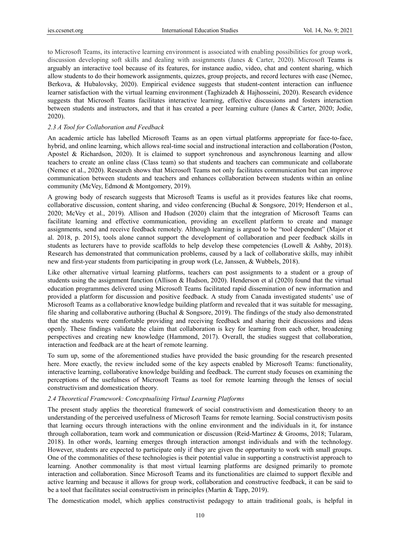to Microsoft Teams, its interactive learning environment is associated with enabling possibilities for group work, discussion developing soft skills and dealing with assignments (Janes & Carter, 2020). Microsoft Teams is arguably an interactive tool because of its features, for instance audio, video, chat and content sharing, which allow students to do their homework assignments, quizzes, group projects, and record lectures with ease (Nemec, Berkova, & Hubalovsky, 2020). Empirical evidence suggests that student-content interaction can influence learner satisfaction with the virtual learning environment (Taghizadeh & Hajhosseini, 2020). Research evidence suggests that Microsoft Teams facilitates interactive learning, effective discussions and fosters interaction between students and instructors, and that it has created a peer learning culture (Janes & Carter, 2020; Jodie, 2020).

## *2.3 A Tool for Collaboration and Feedback*

An academic article has labelled Microsoft Teams as an open virtual platforms appropriate for face-to-face, hybrid, and online learning, which allows real-time social and instructional interaction and collaboration (Poston, Apostel & Richardson, 2020). It is claimed to support synchronous and asynchronous learning and allow teachers to create an online class (Class team) so that students and teachers can communicate and collaborate (Nemec et al., 2020). Research shows that Microsoft Teams not only facilitates communication but can improve communication between students and teachers and enhances collaboration between students within an online community (McVey, Edmond & Montgomery, 2019).

A growing body of research suggests that Microsoft Teams is useful as it provides features like chat rooms, collaborative discussion, content sharing, and video conferencing (Buchal & Songsore, 2019; Henderson et al., 2020; McVey et al., 2019). Allison and Hudson (2020) claim that the integration of Microsoft Teams can facilitate learning and effective communication, providing an excellent platform to create and manage assignments, send and receive feedback remotely. Although learning is argued to be "tool dependent" (Major et al. 2018, p. 2015), tools alone cannot support the development of collaboration and peer feedback skills in students as lecturers have to provide scaffolds to help develop these competencies (Lowell & Ashby, 2018). Research has demonstrated that communication problems, caused by a lack of collaborative skills, may inhibit new and first-year students from participating in group work (Le, Janssen, & Wubbels, 2018).

Like other alternative virtual learning platforms, teachers can post assignments to a student or a group of students using the assignment function (Allison & Hudson, 2020). Henderson et al (2020) found that the virtual education programmes delivered using Microsoft Teams facilitated rapid dissemination of new information and provided a platform for discussion and positive feedback. A study from Canada investigated students' use of Microsoft Teams as a collaborative knowledge building platform and revealed that it was suitable for messaging, file sharing and collaborative authoring (Buchal & Songsore, 2019). The findings of the study also demonstrated that the students were comfortable providing and receiving feedback and sharing their discussions and ideas openly. These findings validate the claim that collaboration is key for learning from each other, broadening perspectives and creating new knowledge (Hammond, 2017). Overall, the studies suggest that collaboration, interaction and feedback are at the heart of remote learning.

To sum up, some of the aforementioned studies have provided the basic grounding for the research presented here. More exactly, the review included some of the key aspects enabled by Microsoft Teams: functionality, interactive learning, collaborative knowledge building and feedback. The current study focuses on examining the perceptions of the usefulness of Microsoft Teams as tool for remote learning through the lenses of social constructivism and domestication theory.

#### *2.4 Theoretical Framework: Conceptualising Virtual Learning Platforms*

The present study applies the theoretical framework of social constructivism and domestication theory to an understanding of the perceived usefulness of Microsoft Teams for remote learning. Social constructivism posits that learning occurs through interactions with the online environment and the individuals in it, for instance through collaboration, team work and communication or discussion (Reid-Martinez & Grooms, 2018; Tularam, 2018). In other words, learning emerges through interaction amongst individuals and with the technology. However, students are expected to participate only if they are given the opportunity to work with small groups. One of the commonalities of these technologies is their potential value in supporting a constructivist approach to learning. Another commonality is that most virtual learning platforms are designed primarily to promote interaction and collaboration. Since Microsoft Teams and its functionalities are claimed to support flexible and active learning and because it allows for group work, collaboration and constructive feedback, it can be said to be a tool that facilitates social constructivism in principles (Martin & Tapp, 2019).

The domestication model, which applies constructivist pedagogy to attain traditional goals, is helpful in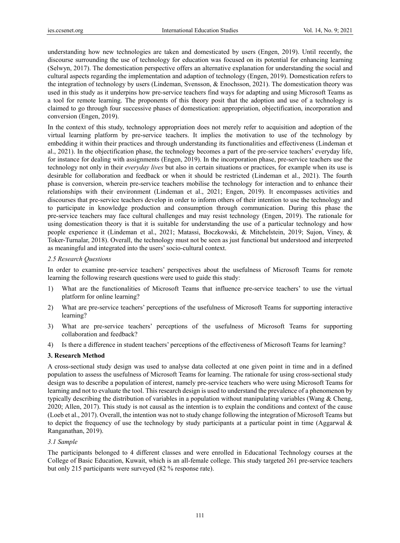understanding how new technologies are taken and domesticated by users (Engen, 2019). Until recently, the discourse surrounding the use of technology for education was focused on its potential for enhancing learning (Selwyn, 2017). The domestication perspective offers an alternative explanation for understanding the social and cultural aspects regarding the implementation and adaption of technology (Engen, 2019). Domestication refers to the integration of technology by users (Lindeman, Svensson, & Enochsson, 2021). The domestication theory was used in this study as it underpins how pre-service teachers find ways for adapting and using Microsoft Teams as a tool for remote learning. The proponents of this theory posit that the adoption and use of a technology is claimed to go through four successive phases of domestication: appropriation, objectification, incorporation and conversion (Engen, 2019).

In the context of this study, technology appropriation does not merely refer to acquisition and adoption of the virtual learning platform by pre-service teachers. It implies the motivation to use of the technology by embedding it within their practices and through understanding its functionalities and effectiveness (Lindeman et al., 2021). In the objectification phase, the technology becomes a part of the pre-service teachers' everyday life, for instance for dealing with assignments (Engen, 2019). In the incorporation phase, pre-service teachers use the technology not only in their *everyday lives* but also in certain situations or practices, for example when its use is desirable for collaboration and feedback or when it should be restricted (Lindeman et al., 2021). The fourth phase is conversion, wherein pre-service teachers mobilise the technology for interaction and to enhance their relationships with their environment (Lindeman et al., 2021; Engen, 2019). It encompasses activities and discourses that pre-service teachers develop in order to inform others of their intention to use the technology and to participate in knowledge production and consumption through communication. During this phase the pre-service teachers may face cultural challenges and may resist technology (Engen, 2019). The rationale for using domestication theory is that it is suitable for understanding the use of a particular technology and how people experience it (Lindeman et al., 2021; Matassi, Boczkowski, & Mitchelstein, 2019; Sujon, Viney, & Toker-Turnalar, 2018). Overall, the technology must not be seen as just functional but understood and interpreted as meaningful and integrated into the users' socio-cultural context.

#### *2.5 Research Questions*

In order to examine pre-service teachers' perspectives about the usefulness of Microsoft Teams for remote learning the following research questions were used to guide this study:

- 1) What are the functionalities of Microsoft Teams that influence pre-service teachers' to use the virtual platform for online learning?
- 2) What are pre-service teachers' perceptions of the usefulness of Microsoft Teams for supporting interactive learning?
- 3) What are pre-service teachers' perceptions of the usefulness of Microsoft Teams for supporting collaboration and feedback?
- 4) Is there a difference in student teachers' perceptions of the effectiveness of Microsoft Teams for learning?

#### **3. Research Method**

A cross-sectional study design was used to analyse data collected at one given point in time and in a defined population to assess the usefulness of Microsoft Teams for learning. The rationale for using cross-sectional study design was to describe a population of interest, namely pre-service teachers who were using Microsoft Teams for learning and not to evaluate the tool. This research design is used to understand the prevalence of a phenomenon by typically describing the distribution of variables in a population without manipulating variables (Wang & Cheng, 2020; Allen, 2017). This study is not causal as the intention is to explain the conditions and context of the cause (Loeb et al., 2017). Overall, the intention was not to study change following the integration of Microsoft Teams but to depict the frequency of use the technology by study participants at a particular point in time (Aggarwal & Ranganathan, 2019).

### *3.1 Sample*

The participants belonged to 4 different classes and were enrolled in Educational Technology courses at the College of Basic Education, Kuwait, which is an all-female college. This study targeted 261 pre-service teachers but only 215 participants were surveyed (82 % response rate).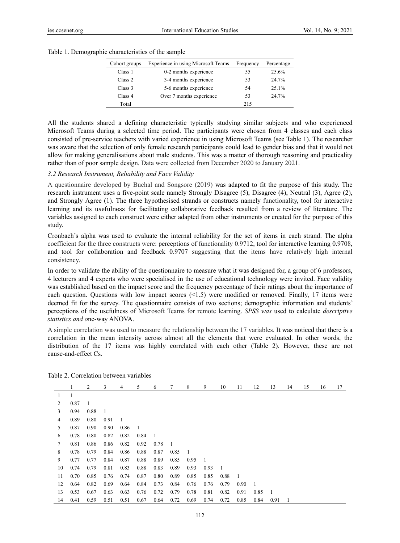|  | Table 1. Demographic characteristics of the sample |  |  |
|--|----------------------------------------------------|--|--|
|  |                                                    |  |  |

| Cohort groups | Experience in using Microsoft Teams | Frequency | Percentage |
|---------------|-------------------------------------|-----------|------------|
| Class 1       | 0-2 months experience               | 55        | 25.6%      |
| Class 2       | 3-4 months experience               | 53        | 24.7%      |
| Class 3       | 5-6 months experience               | 54        | 25.1%      |
| Class 4       | Over 7 months experience            | 53        | 24.7%      |
| Total         |                                     | 215       |            |

All the students shared a defining characteristic typically studying similar subjects and who experienced Microsoft Teams during a selected time period. The participants were chosen from 4 classes and each class consisted of pre-service teachers with varied experience in using Microsoft Teams (see Table 1). The researcher was aware that the selection of only female research participants could lead to gender bias and that it would not allow for making generalisations about male students. This was a matter of thorough reasoning and practicality rather than of poor sample design. Data were collected from December 2020 to January 2021.

#### *3.2 Research Instrument, Reliability and Face Validity*

A questionnaire developed by Buchal and Songsore (2019) was adapted to fit the purpose of this study. The research instrument uses a five-point scale namely Strongly Disagree (5), Disagree (4), Neutral (3), Agree (2), and Strongly Agree (1). The three hypothesised strands or constructs namely functionality, tool for interactive learning and its usefulness for facilitating collaborative feedback resulted from a review of literature. The variables assigned to each construct were either adapted from other instruments or created for the purpose of this study.

Cronbach's alpha was used to evaluate the internal reliability for the set of items in each strand. The alpha coefficient for the three constructs were: perceptions of functionality 0.9712, tool for interactive learning 0.9708, and tool for collaboration and feedback 0.9707 suggesting that the items have relatively high internal consistency.

In order to validate the ability of the questionnaire to measure what it was designed for, a group of 6 professors, 4 lecturers and 4 experts who were specialised in the use of educational technology were invited. Face validity was established based on the impact score and the frequency percentage of their ratings about the importance of each question. Questions with low impact scores (<1.5) were modified or removed. Finally, 17 items were deemed fit for the survey. The questionnaire consists of two sections; demographic information and students' perceptions of the usefulness of Microsoft Teams for remote learning. *SPSS was* used to calculate *descriptive statistics and o*ne-way ANOVA.

A simple correlation was used to measure the relationship between the 17 variables. It was noticed that there is a correlation in the mean intensity across almost all the elements that were evaluated. In other words, the distribution of the 17 items was highly correlated with each other (Table 2). However, these are not cause-and-effect Cs.

|    | 1    | 2    | 3    | 4    | 5    | 6    | 7    | 8    | 9    | 10   | 11   | 12   | 13   | 14 | 15 | 16 | 17 |
|----|------|------|------|------|------|------|------|------|------|------|------|------|------|----|----|----|----|
| 1  |      |      |      |      |      |      |      |      |      |      |      |      |      |    |    |    |    |
| 2  | 0.87 | - 1  |      |      |      |      |      |      |      |      |      |      |      |    |    |    |    |
| 3  | 0.94 | 0.88 | 1    |      |      |      |      |      |      |      |      |      |      |    |    |    |    |
| 4  | 0.89 | 0.80 | 0.91 | -1   |      |      |      |      |      |      |      |      |      |    |    |    |    |
| 5  | 0.87 | 0.90 | 0.90 | 0.86 | -1   |      |      |      |      |      |      |      |      |    |    |    |    |
| 6  | 0.78 | 0.80 | 0.82 | 0.82 | 0.84 | - 1  |      |      |      |      |      |      |      |    |    |    |    |
| 7  | 0.81 | 0.86 | 0.86 | 0.82 | 0.92 | 0.78 | -1   |      |      |      |      |      |      |    |    |    |    |
| 8  | 0.78 | 0.79 | 0.84 | 0.86 | 0.88 | 0.87 | 0.85 | - 1  |      |      |      |      |      |    |    |    |    |
| 9  | 0.77 | 0.77 | 0.84 | 0.87 | 0.88 | 0.89 | 0.85 | 0.95 | - 1  |      |      |      |      |    |    |    |    |
| 10 | 0.74 | 0.79 | 0.81 | 0.83 | 0.88 | 0.83 | 0.89 | 0.93 | 0.93 | - 1  |      |      |      |    |    |    |    |
| 11 | 0.70 | 0.85 | 0.76 | 0.74 | 0.87 | 0.80 | 0.89 | 0.85 | 0.85 | 0.88 | -1   |      |      |    |    |    |    |
| 12 | 0.64 | 0.82 | 0.69 | 0.64 | 0.84 | 0.73 | 0.84 | 0.76 | 0.76 | 0.79 | 0.90 | -1   |      |    |    |    |    |
| 13 | 0.53 | 0.67 | 0.63 | 0.63 | 0.76 | 0.72 | 0.79 | 0.78 | 0.81 | 0.82 | 0.91 | 0.85 | - 1  |    |    |    |    |
| 14 | 0.41 | 0.59 | 0.51 | 0.51 | 0.67 | 0.64 | 0.72 | 0.69 | 0.74 | 0.72 | 0.85 | 0.84 | 0.91 | 1  |    |    |    |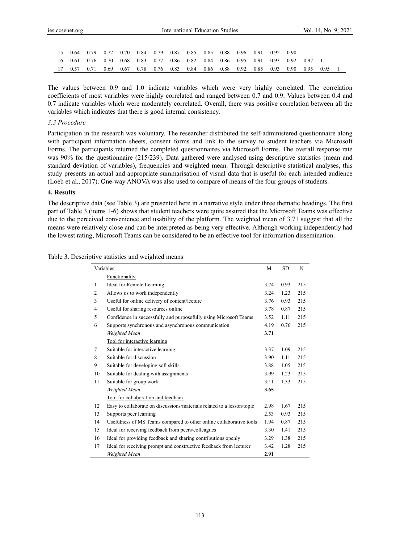|  |  |  |  |  |  | 15  0.64  0.79  0.72  0.70  0.84  0.79  0.87  0.85  0.85  0.88  0.96  0.91  0.92  0.90             |  |  |
|--|--|--|--|--|--|----------------------------------------------------------------------------------------------------|--|--|
|  |  |  |  |  |  | 16  0.61  0.76  0.70  0.68  0.83  0.77  0.86  0.82  0.84  0.86  0.95  0.91  0.93  0.92  0.97       |  |  |
|  |  |  |  |  |  | 17  0.57  0.71  0.69  0.67  0.78  0.76  0.83  0.84  0.86  0.88  0.92  0.85  0.93  0.90  0.95  0.95 |  |  |

The values between 0.9 and 1.0 indicate variables which were very highly correlated. The correlation coefficients of most variables were highly correlated and ranged between 0.7 and 0.9. Values between 0.4 and 0.7 indicate variables which were moderately correlated. Overall, there was positive correlation between all the variables which indicates that there is good internal consistency.

## *3.3 Procedure*

Participation in the research was voluntary. The researcher distributed the self-administered questionnaire along with participant information sheets, consent forms and link to the survey to student teachers via Microsoft Forms. The participants returned the completed questionnaires via Microsoft Forms. The overall response rate was 90% for the questionnaire (215/239). Data gathered were analysed using descriptive statistics (mean and standard deviation of variables), frequencies and weighted mean. Through descriptive statistical analyses, this study presents an actual and appropriate summarisation of visual data that is useful for each intended audience (Loeb et al., 2017). One-way ANOVA was also used to compare of means of the four groups of students.

### **4. Results**

The descriptive data (see Table 3) are presented here in a narrative style under three thematic headings. The first part of Table 3 (items 1-6) shows that student teachers were quite assured that the Microsoft Teams was effective due to the perceived convenience and usability of the platform. The weighted mean of 3.71 suggest that all the means were relatively close and can be interpreted as being very effective. Although working independently had the lowest rating, Microsoft Teams can be considered to be an effective tool for information dissemination.

|    | Variables                                                              | М    | <b>SD</b> | N   |
|----|------------------------------------------------------------------------|------|-----------|-----|
|    | Functionality                                                          |      |           |     |
| 1  | Ideal for Remote Learning                                              | 3.74 | 0.93      | 215 |
| 2  | Allows us to work independently                                        | 3.24 | 1.23      | 215 |
| 3  | Useful for online delivery of content/lecture                          | 3.76 | 0.93      | 215 |
| 4  | Useful for sharing resources online                                    | 3.78 | 0.87      | 215 |
| 5  | Confidence in successfully and purposefully using Microsoft Teams      | 3.52 | 1.11      | 215 |
| 6  | Supports synchronous and asynchronous communication                    | 4.19 | 0.76      | 215 |
|    | Weighted Mean                                                          | 3.71 |           |     |
|    | Tool for interactive learning                                          |      |           |     |
| 7  | Suitable for interactive learning                                      | 3.37 | 1.09      | 215 |
| 8  | Suitable for discussion                                                | 3.90 | 1.11      | 215 |
| 9  | Suitable for developing soft skills                                    | 3.88 | 1.05      | 215 |
| 10 | Suitable for dealing with assignments                                  | 3.99 | 1.23      | 215 |
| 11 | Suitable for group work                                                | 3.11 | 1.33      | 215 |
|    | Weighted Mean                                                          | 3.65 |           |     |
|    | Tool for collaboration and feedback                                    |      |           |     |
| 12 | Easy to collaborate on discussions/materials related to a lesson/topic | 2.98 | 1.67      | 215 |
| 13 | Supports peer learning                                                 | 2.53 | 0.93      | 215 |
| 14 | Usefulness of MS Teams compared to other online collaborative tools    | 1.94 | 0.87      | 215 |
| 15 | Ideal for receiving feedback from peers/colleagues                     | 3.30 | 1.41      | 215 |
| 16 | Ideal for providing feedback and sharing contributions openly          | 3.29 | 1.38      | 215 |
| 17 | Ideal for receiving prompt and constructive feedback from lecturer     | 3.42 | 1.28      | 215 |
|    | Weighted Mean                                                          | 2.91 |           |     |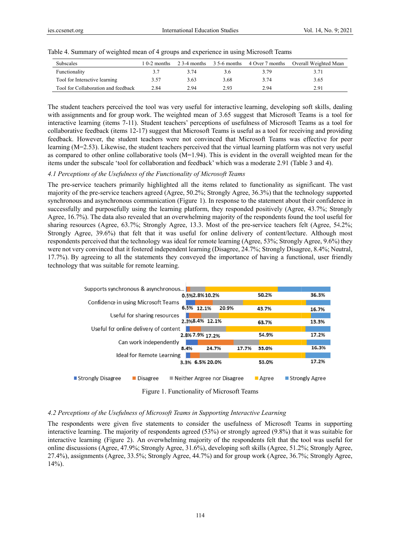Ī.

| <b>Subscales</b>                    | l 0-2 months |      |      |      | 2 3-4 months 3 5-6 months 4 Over 7 months Overall Weighted Mean |
|-------------------------------------|--------------|------|------|------|-----------------------------------------------------------------|
| Functionality                       | 3.7          | 3.74 | 3.6  | 3.79 |                                                                 |
| Tool for Interactive learning       | 3.57         | 3.63 | 3.68 | 3.74 | 3.65                                                            |
| Tool for Collaboration and feedback | 2.84         | 2.94 | 2.93 | 2.94 | 2.91                                                            |

Table 4. Summary of weighted mean of 4 groups and experience in using Microsoft Teams

The student teachers perceived the tool was very useful for interactive learning, developing soft skills, dealing with assignments and for group work. The weighted mean of 3.65 suggest that Microsoft Teams is a tool for interactive learning (items 7-11). Student teachers' perceptions of usefulness of Microsoft Teams as a tool for collaborative feedback (items 12-17) suggest that Microsoft Teams is useful as a tool for receiving and providing feedback. However, the student teachers were not convinced that Microsoft Teams was effective for peer learning (M=2.53). Likewise, the student teachers perceived that the virtual learning platform was not very useful as compared to other online collaborative tools  $(M=1.94)$ . This is evident in the overall weighted mean for the items under the subscale 'tool for collaboration and feedback' which was a moderate 2.91 (Table 3 and 4).

### 4.1 Perceptions of the Usefulness of the Functionality of Microsoft Teams

The pre-service teachers primarily highlighted all the items related to functionality as significant. The vast majority of the pre-service teachers agreed (Agree, 50.2%; Strongly Agree, 36.3%) that the technology supported synchronous and asynchronous communication (Figure 1). In response to the statement about their confidence in successfully and purposefully using the learning platform, they responded positively (Agree, 43.7%; Strongly Agree, 16.7%). The data also revealed that an overwhelming majority of the respondents found the tool useful for sharing resources (Agree, 63.7%; Strongly Agree, 13.3. Most of the pre-service teachers felt (Agree, 54.2%; Strongly Agree, 39.6%) that felt that it was useful for online delivery of content/lecture. Although most respondents perceived that the technology was ideal for remote learning (Agree, 53%; Strongly Agree, 9.6%) they were not very convinced that it fostered independent learning (Disagree, 24.7%; Strongly Disagree, 8.4%; Neutral, 17.7%). By agreeing to all the statements they conveyed the importance of having a functional, user friendly technology that was suitable for remote learning.

| Supports synchronous & asynchronous                                                                                                                                                                                                                                                                                                                                                  |      |                                            |       |       |                      |                  |       |
|--------------------------------------------------------------------------------------------------------------------------------------------------------------------------------------------------------------------------------------------------------------------------------------------------------------------------------------------------------------------------------------|------|--------------------------------------------|-------|-------|----------------------|------------------|-------|
|                                                                                                                                                                                                                                                                                                                                                                                      |      | 0.5%2.8%10.2%                              |       |       | 50.2%                |                  | 36.3% |
| Confidence in using Microsoft Teams                                                                                                                                                                                                                                                                                                                                                  |      |                                            |       |       |                      |                  |       |
|                                                                                                                                                                                                                                                                                                                                                                                      |      | 6.5% 12.1%                                 | 20.9% |       | 43.7%                |                  | 16.7% |
| Useful for sharing resources                                                                                                                                                                                                                                                                                                                                                         |      |                                            |       |       |                      |                  |       |
|                                                                                                                                                                                                                                                                                                                                                                                      |      | 2.3%8.4% 12.1%                             |       |       | 63.7%                |                  | 13.3% |
| Useful for online delivery of content                                                                                                                                                                                                                                                                                                                                                |      |                                            |       |       |                      |                  |       |
|                                                                                                                                                                                                                                                                                                                                                                                      |      | 2.8%7.9% 17.2%                             |       |       | 54.9%                |                  | 17.2% |
| Can work independently                                                                                                                                                                                                                                                                                                                                                               |      |                                            |       |       |                      |                  |       |
|                                                                                                                                                                                                                                                                                                                                                                                      | 8.4% | 24.7%                                      |       | 17.7% | 33.0%                |                  | 16.3% |
| <b>Ideal for Remote Learning</b>                                                                                                                                                                                                                                                                                                                                                     |      |                                            |       |       |                      |                  |       |
|                                                                                                                                                                                                                                                                                                                                                                                      |      | 3.3% 6.5% 20.0%                            |       |       | 53.0%                |                  | 17.2% |
|                                                                                                                                                                                                                                                                                                                                                                                      |      |                                            |       |       |                      |                  |       |
| <b>Strongly Disagree</b><br>■ Disagree                                                                                                                                                                                                                                                                                                                                               |      | $\blacksquare$ Neither Argree nor Disagree |       |       | $\blacksquare$ Agree | ■ Strongly Agree |       |
| $\mathbf{E}^{\prime}$ , $\mathbf{I}$ , $\mathbf{E}$ , $\mathbf{I}^{\prime}$ , $\mathbf{I}^{\prime}$ , $\mathbf{I}^{\prime}$ , $\mathbf{C}$ , $\mathbf{A}^{\prime}$ , $\mathbf{I}^{\prime}$ , $\mathbf{A}^{\prime}$ , $\mathbf{I}^{\prime}$ , $\mathbf{I}^{\prime}$ , $\mathbf{I}^{\prime}$ , $\mathbf{I}^{\prime}$ , $\mathbf{I}^{\prime}$ , $\mathbf{I}^{\prime}$ , $\mathbf{I}^{\$ |      |                                            |       |       |                      |                  |       |

Figure 1. Functionality of Microsoft Teams

#### 4.2 Perceptions of the Usefulness of Microsoft Teams in Supporting Interactive Learning

The respondents were given five statements to consider the usefulness of Microsoft Teams in supporting interactive learning. The majority of respondents agreed (53%) or strongly agreed (9.8%) that it was suitable for interactive learning (Figure 2). An overwhelming majority of the respondents felt that the tool was useful for online discussions (Agree, 47.9%; Strongly Agree, 31.6%), developing soft skills (Agree, 51.2%; Strongly Agree, 27.4%), assignments (Agree, 33.5%; Strongly Agree, 44.7%) and for group work (Agree, 36.7%; Strongly Agree,  $14\%$ ).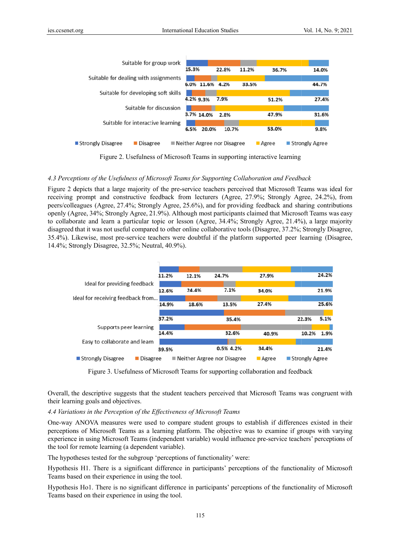| Suitable for group work               |                                            |       |       |         |                  |
|---------------------------------------|--------------------------------------------|-------|-------|---------|------------------|
|                                       | 15.3%                                      | 22.8% | 11.2% | 36.7%   | 14.0%            |
| Suitable for dealing with assignments |                                            |       |       |         |                  |
|                                       | 11.6%<br>6.0%                              | 4.2%  | 33.5% |         | 44.7%            |
| Suitable for developing soft skills   |                                            |       |       |         |                  |
|                                       | 4.2% 9.3%                                  | 7.9%  |       | 51.2%   | 27.4%            |
| Suitable for discussion               |                                            |       |       |         |                  |
|                                       | 3.7% 14.0%                                 | 2.8%  |       | 47.9%   | 31.6%            |
| Suitable for interactive learning     |                                            |       |       |         |                  |
|                                       | 6.5%<br>20.0%                              | 10.7% |       | 53.0%   | 9.8%             |
| ■ Strongly Disagree<br>■ Disagree     | $\blacksquare$ Neither Argree nor Disagree |       |       | ■ Agree | ■ Strongly Agree |

Figure 2. Usefulness of Microsoft Teams in supporting interactive learning

# *4.3 Percep ptions of the U Usefulness of M Microsoft Teams s for Supportin ng Collaborati ion and Feedb back*

Figure 2 depicts that a large majority of the pre-service teachers perceived that Microsoft Teams was ideal for receiving prompt and constructive feedback from lecturers (Agree, 27.9%; Strongly Agree, 24.2%), from peers/colleagues (Agree, 27.4%; Strongly Agree, 25.6%), and for providing feedback and sharing contributions openly (Agree, 34%; Strongly Agree, 21.9%). Although most participants claimed that Microsoft Teams was easy to collaborate and learn a particular topic or lesson (Agree, 34.4%; Strongly Agree, 21.4%), a large majority disagreed that it was not useful compared to other online collaborative tools (Disagree, 37.2%; Strongly Disagree, 35.4%). Likewise, most pre-service teachers were doubtful if the platform supported peer learning (Disagree, 14.4%; Strongly Disagree, 32.5%; Neutral, 40.9%).



Figure 3. Usefulness of Microsoft Teams for supporting collaboration and feedback

Overall, the descriptive suggests that the student teachers perceived that Microsoft Teams was congruent with their learning goals and objectives.

## 4.4 Variations in the Perception of the Effectiveness of Microsoft Teams

One-way ANOVA measures were used to compare student groups to establish if differences existed in their perceptions of Microsoft Teams as a learning platform. The objective was to examine if groups with varying experience in using Microsoft Teams (independent variable) would influence pre-service teachers' perceptions of the tool for remote learning (a dependent variable).

The hypotheses tested for the subgroup 'perceptions of functionality' were:

Hypothesis H1. There is a significant difference in participants' perceptions of the functionality of Microsoft Teams based on their experience in using the tool.

Hypothesis Ho1. There is no significant difference in participants' perceptions of the functionality of Microsoft Teams based on their experience in using the tool.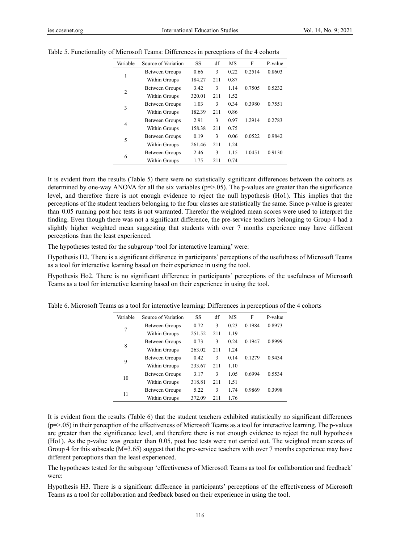| Variable       | Source of Variation   | SS     | df  | <b>MS</b> | F      | P-value |
|----------------|-----------------------|--------|-----|-----------|--------|---------|
|                | Between Groups        | 0.66   | 3   | 0.22      | 0.2514 | 0.8603  |
| 1              | Within Groups         | 184.27 | 211 | 0.87      |        |         |
|                | <b>Between Groups</b> | 3.42   | 3   | 1.14      | 0.7505 | 0.5232  |
| $\overline{2}$ | Within Groups         | 320.01 | 211 | 1.52      |        |         |
|                | Between Groups        | 1.03   | 3   | 0.34      | 0.3980 | 0.7551  |
| 3              | Within Groups         | 182.39 | 211 | 0.86      |        |         |
|                | Between Groups        | 2.91   | 3   | 0.97      | 1.2914 | 0.2783  |
| 4              | Within Groups         | 158.38 | 211 | 0.75      |        |         |
|                | Between Groups        | 0.19   | 3   | 0.06      | 0.0522 | 0.9842  |
| 5              | Within Groups         | 261.46 | 211 | 1.24      |        |         |
| 6              | Between Groups        | 2.46   | 3   | 1.15      | 1.0451 | 0.9130  |
|                | Within Groups         | 1.75   | 211 | 0.74      |        |         |

Table 5. Functionality of Microsoft Teams: Differences in perceptions of the 4 cohorts

It is evident from the results (Table 5) there were no statistically significant differences between the cohorts as determined by one-way ANOVA for all the six variables ( $p = > 0.05$ ). The p-values are greater than the significance level, and therefore there is not enough evidence to reject the null hypothesis (Ho1). This implies that the perceptions of the student teachers belonging to the four classes are statistically the same. Since p-value is greater than 0.05 running post hoc tests is not warranted. Therefor the weighted mean scores were used to interpret the finding. Even though there was not a significant difference, the pre-service teachers belonging to Group 4 had a slightly higher weighted mean suggesting that students with over 7 months experience may have different perceptions than the least experienced.

The hypotheses tested for the subgroup 'tool for interactive learning' were:

Hypothesis H2. There is a significant difference in participants' perceptions of the usefulness of Microsoft Teams as a tool for interactive learning based on their experience in using the tool.

Hypothesis Ho2. There is no significant difference in participants' perceptions of the usefulness of Microsoft Teams as a tool for interactive learning based on their experience in using the tool.

| Variable | Source of Variation   | SS.    | df  | MS   | F      | P-value |  |
|----------|-----------------------|--------|-----|------|--------|---------|--|
| 7        | Between Groups        | 0.72   | 3   | 0.23 | 0.1984 | 0.8973  |  |
|          | Within Groups         | 251.52 | 211 | 1.19 |        |         |  |
| 8        | <b>Between Groups</b> | 0.73   | 3   | 0.24 | 0.1947 | 0.8999  |  |
|          | Within Groups         | 263.02 | 211 | 1.24 |        |         |  |
| 9        | Between Groups        | 0.42   | 3   | 0.14 | 0.1279 | 0.9434  |  |
|          | Within Groups         | 233.67 | 211 | 1.10 |        |         |  |
| 10       | <b>Between Groups</b> | 3.17   | 3   | 1.05 | 0.6994 | 0.5534  |  |
|          | Within Groups         | 318.81 | 211 | 1.51 |        |         |  |
| 11       | <b>Between Groups</b> | 5.22   | 3   | 1.74 | 0.9869 | 0.3998  |  |
|          | Within Groups         | 372.09 | 211 | 1.76 |        |         |  |

Table 6. Microsoft Teams as a tool for interactive learning: Differences in perceptions of the 4 cohorts

It is evident from the results (Table 6) that the student teachers exhibited statistically no significant differences  $(p=0.05)$  in their perception of the effectiveness of Microsoft Teams as a tool for interactive learning. The p-values are greater than the significance level, and therefore there is not enough evidence to reject the null hypothesis (Ho1). As the p-value was greater than 0.05, post hoc tests were not carried out. The weighted mean scores of Group 4 for this subscale (M=3.65) suggest that the pre-service teachers with over 7 months experience may have different perceptions than the least experienced.

The hypotheses tested for the subgroup 'effectiveness of Microsoft Teams as tool for collaboration and feedback' were:

Hypothesis H3. There is a significant difference in participants' perceptions of the effectiveness of Microsoft Teams as a tool for collaboration and feedback based on their experience in using the tool.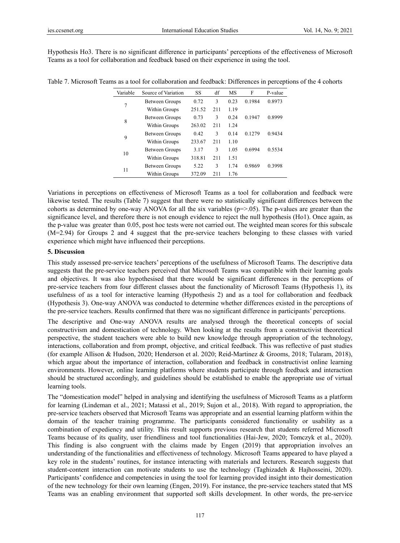Hypothesis Ho3. There is no significant difference in participants' perceptions of the effectiveness of Microsoft Teams as a tool for collaboration and feedback based on their experience in using the tool.

| Variable | Source of Variation | SS.    | df  | <b>MS</b> | F      | P-value |
|----------|---------------------|--------|-----|-----------|--------|---------|
| 7        | Between Groups      | 0.72   | 3   | 0.23      | 0.1984 | 0.8973  |
|          | Within Groups       | 251.52 | 211 | 1.19      |        |         |
| 8        | Between Groups      | 0.73   | 3   | 0.24      | 0.1947 | 0.8999  |
|          | Within Groups       | 263.02 | 211 | 1.24      |        |         |
| 9        | Between Groups      | 0.42   | 3   | 0.14      | 0.1279 | 0.9434  |
|          | Within Groups       | 233.67 | 211 | 1.10      |        |         |
| 10       | Between Groups      | 3.17   | 3   | 1.05      | 0.6994 | 0.5534  |
|          | Within Groups       | 318.81 | 211 | 1.51      |        |         |
| 11       | Between Groups      | 5.22   | 3   | 1.74      | 0.9869 | 0.3998  |
|          | Within Groups       | 372.09 | 211 | 1.76      |        |         |

Table 7. Microsoft Teams as a tool for collaboration and feedback: Differences in perceptions of the 4 cohorts

Variations in perceptions on effectiveness of Microsoft Teams as a tool for collaboration and feedback were likewise tested. The results (Table 7) suggest that there were no statistically significant differences between the cohorts as determined by one-way ANOVA for all the six variables ( $p = > 0.05$ ). The p-values are greater than the significance level, and therefore there is not enough evidence to reject the null hypothesis (Ho1). Once again, as the p-value was greater than 0.05, post hoc tests were not carried out. The weighted mean scores for this subscale (M=2.94) for Groups 2 and 4 suggest that the pre-service teachers belonging to these classes with varied experience which might have influenced their perceptions.

### **5. Discussion**

This study assessed pre-service teachers' perceptions of the usefulness of Microsoft Teams. The descriptive data suggests that the pre-service teachers perceived that Microsoft Teams was compatible with their learning goals and objectives. It was also hypothesised that there would be significant differences in the perceptions of pre-service teachers from four different classes about the functionality of Microsoft Teams (Hypothesis 1), its usefulness of as a tool for interactive learning (Hypothesis 2) and as a tool for collaboration and feedback (Hypothesis 3). One-way ANOVA was conducted to determine whether differences existed in the perceptions of the pre-service teachers. Results confirmed that there was no significant difference in participants' perceptions.

The descriptive and One-way ANOVA results are analysed through the theoretical concepts of social constructivism and domestication of technology. When looking at the results from a constructivist theoretical perspective, the student teachers were able to build new knowledge through appropriation of the technology, interactions, collaboration and from prompt, objective, and critical feedback. This was reflective of past studies (for example Allison & Hudson, 2020; Henderson et al. 2020; Reid-Martinez & Grooms, 2018; Tularam, 2018), which argue about the importance of interaction, collaboration and feedback in constructivist online learning environments. However, online learning platforms where students participate through feedback and interaction should be structured accordingly, and guidelines should be established to enable the appropriate use of virtual learning tools.

The "domestication model" helped in analysing and identifying the usefulness of Microsoft Teams as a platform for learning (Lindeman et al., 2021; Matassi et al., 2019; Sujon et al., 2018). With regard to appropriation, the pre-service teachers observed that Microsoft Teams was appropriate and an essential learning platform within the domain of the teacher training programme. The participants considered functionality or usability as a combination of expediency and utility. This result supports previous research that students referred Microsoft Teams because of its quality, user friendliness and tool functionalities (Hai-Jew, 2020; Tomczyk et al., 2020). This finding is also congruent with the claims made by Engen (2019) that appropriation involves an understanding of the functionalities and effectiveness of technology. Microsoft Teams appeared to have played a key role in the students' routines, for instance interacting with materials and lecturers. Research suggests that student-content interaction can motivate students to use the technology (Taghizadeh & Hajhosseini, 2020). Participants' confidence and competencies in using the tool for learning provided insight into their domestication of the new technology for their own learning (Engen, 2019). For instance, the pre-service teachers stated that MS Teams was an enabling environment that supported soft skills development. In other words, the pre-service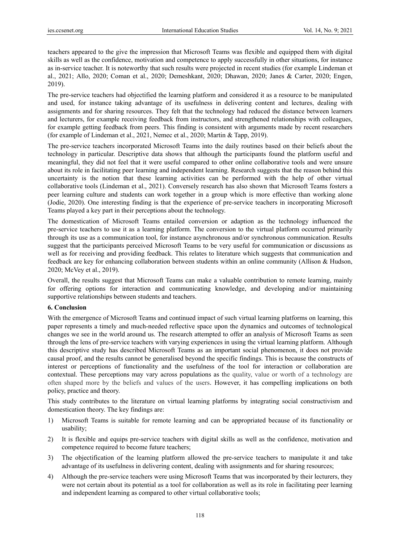teachers appeared to the give the impression that Microsoft Teams was flexible and equipped them with digital skills as well as the confidence, motivation and competence to apply successfully in other situations, for instance as in-service teacher. It is noteworthy that such results were projected in recent studies (for example Lindeman et al., 2021; Allo, 2020; Coman et al., 2020; Demeshkant, 2020; Dhawan, 2020; Janes & Carter, 2020; Engen, 2019).

The pre-service teachers had objectified the learning platform and considered it as a resource to be manipulated and used, for instance taking advantage of its usefulness in delivering content and lectures, dealing with assignments and for sharing resources. They felt that the technology had reduced the distance between learners and lecturers, for example receiving feedback from instructors, and strengthened relationships with colleagues, for example getting feedback from peers. This finding is consistent with arguments made by recent researchers (for example of Lindeman et al., 2021, Nemec et al., 2020; Martin & Tapp, 2019).

The pre-service teachers incorporated Microsoft Teams into the daily routines based on their beliefs about the technology in particular. Descriptive data shows that although the participants found the platform useful and meaningful, they did not feel that it were useful compared to other online collaborative tools and were unsure about its role in facilitating peer learning and independent learning. Research suggests that the reason behind this uncertainty is the notion that these learning activities can be performed with the help of other virtual collaborative tools (Lindeman et al., 2021). Conversely research has also shown that Microsoft Teams fosters a peer learning culture and students can work together in a group which is more effective than working alone (Jodie, 2020). One interesting finding is that the experience of pre-service teachers in incorporating Microsoft Teams played a key part in their perceptions about the technology.

The domestication of Microsoft Teams entailed conversion or adaption as the technology influenced the pre-service teachers to use it as a learning platform. The conversion to the virtual platform occurred primarily through its use as a communication tool, for instance asynchronous and/or synchronous communication. Results suggest that the participants perceived Microsoft Teams to be very useful for communication or discussions as well as for receiving and providing feedback. This relates to literature which suggests that communication and feedback are key for enhancing collaboration between students within an online community (Allison & Hudson, 2020; McVey et al., 2019).

Overall, the results suggest that Microsoft Teams can make a valuable contribution to remote learning, mainly for offering options for interaction and communicating knowledge, and developing and/or maintaining supportive relationships between students and teachers.

#### **6. Conclusion**

With the emergence of Microsoft Teams and continued impact of such virtual learning platforms on learning, this paper represents a timely and much-needed reflective space upon the dynamics and outcomes of technological changes we see in the world around us. The research attempted to offer an analysis of Microsoft Teams as seen through the lens of pre-service teachers with varying experiences in using the virtual learning platform. Although this descriptive study has described Microsoft Teams as an important social phenomenon, it does not provide causal proof, and the results cannot be generalised beyond the specific findings. This is because the constructs of interest or perceptions of functionality and the usefulness of the tool for interaction or collaboration are contextual. These perceptions may vary across populations as the quality, value or worth of a technology are often shaped more by the beliefs and values of the users. However, it has compelling implications on both policy, practice and theory.

This study contributes to the literature on virtual learning platforms by integrating social constructivism and domestication theory. The key findings are:

- 1) Microsoft Teams is suitable for remote learning and can be appropriated because of its functionality or usability;
- 2) It is flexible and equips pre-service teachers with digital skills as well as the confidence, motivation and competence required to become future teachers;
- 3) The objectification of the learning platform allowed the pre-service teachers to manipulate it and take advantage of its usefulness in delivering content, dealing with assignments and for sharing resources;
- 4) Although the pre-service teachers were using Microsoft Teams that was incorporated by their lecturers, they were not certain about its potential as a tool for collaboration as well as its role in facilitating peer learning and independent learning as compared to other virtual collaborative tools;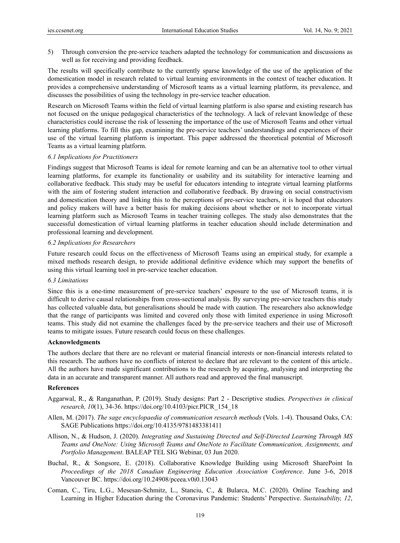5) Through conversion the pre-service teachers adapted the technology for communication and discussions as well as for receiving and providing feedback.

The results will specifically contribute to the currently sparse knowledge of the use of the application of the domestication model in research related to virtual learning environments in the context of teacher education. It provides a comprehensive understanding of Microsoft teams as a virtual learning platform, its prevalence, and discusses the possibilities of using the technology in pre-service teacher education.

Research on Microsoft Teams within the field of virtual learning platform is also sparse and existing research has not focused on the unique pedagogical characteristics of the technology. A lack of relevant knowledge of these characteristics could increase the risk of lessening the importance of the use of Microsoft Teams and other virtual learning platforms. To fill this gap, examining the pre-service teachers' understandings and experiences of their use of the virtual learning platform is important. This paper addressed the theoretical potential of Microsoft Teams as a virtual learning platform.

#### *6.1 Implications for Practitioners*

Findings suggest that Microsoft Teams is ideal for remote learning and can be an alternative tool to other virtual learning platforms, for example its functionality or usability and its suitability for interactive learning and collaborative feedback. This study may be useful for educators intending to integrate virtual learning platforms with the aim of fostering student interaction and collaborative feedback. By drawing on social constructivism and domestication theory and linking this to the perceptions of pre-service teachers, it is hoped that educators and policy makers will have a better basis for making decisions about whether or not to incorporate virtual learning platform such as Microsoft Teams in teacher training colleges. The study also demonstrates that the successful domestication of virtual learning platforms in teacher education should include determination and professional learning and development.

### *6.2 Implications for Researchers*

Future research could focus on the effectiveness of Microsoft Teams using an empirical study, for example a mixed methods research design, to provide additional definitive evidence which may support the benefits of using this virtual learning tool in pre-service teacher education.

#### *6.3 Limitations*

Since this is a one-time measurement of pre-service teachers' exposure to the use of Microsoft teams, it is difficult to derive causal relationships from cross-sectional analysis. By surveying pre-service teachers this study has collected valuable data, but generalisations should be made with caution. The researchers also acknowledge that the range of participants was limited and covered only those with limited experience in using Microsoft teams. This study did not examine the challenges faced by the pre-service teachers and their use of Microsoft teams to mitigate issues. Future research could focus on these challenges.

#### **Acknowledgments**

The authors declare that there are no relevant or material financial interests or non-financial interests related to this research. The authors have no conflicts of interest to declare that are relevant to the content of this article.. All the authors have made significant contributions to the research by acquiring, analysing and interpreting the data in an accurate and transparent manner. All authors read and approved the final manuscript.

#### **References**

- Aggarwal, R., & Ranganathan, P. (2019). Study designs: Part 2 Descriptive studies. *Perspectives in clinical research, 10*(1), 34-36. https://doi.org/10.4103/picr.PICR\_154\_18
- Allen, M. (2017). *The sage encyclopaedia of communication research methods* (Vols. 1-4). Thousand Oaks, CA: SAGE Publications https://doi.org/10.4135/9781483381411
- Allison, N., & Hudson, J. (2020). *Integrating and Sustaining Directed and Self-Directed Learning Through MS Teams and OneNote: Using Microsoft Teams and OneNote to Facilitate Communication, Assignments, and Portfolio Management*. BALEAP TEL SIG Webinar, 03 Jun 2020.
- Buchal, R., & Songsore, E. (2018). Collaborative Knowledge Building using Microsoft SharePoint In *Proceedings of the 2018 Canadian Engineering Education Association Conference*. June 3-6, 2018 Vancouver BC. https://doi.org/10.24908/pceea.v0i0.13043
- Coman, C., Tiru, L.G., Mesesan-Schmitz, L., Stanciu, C., & Bularca, M.C. (2020). Online Teaching and Learning in Higher Education during the Coronavirus Pandemic: Students' Perspective. *Sustainability, 12*,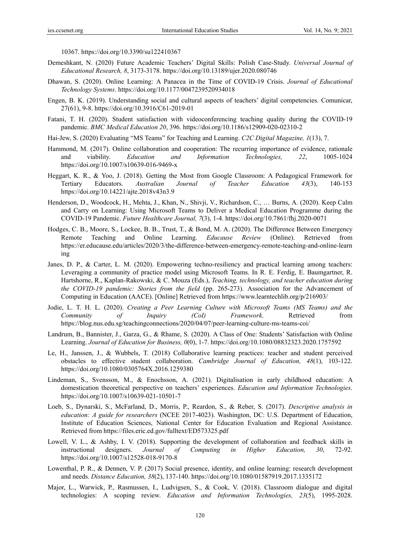10367. https://doi.org/10.3390/su122410367

- Demeshkant, N. (2020) Future Academic Teachers' Digital Skills: Polish Case-Study. *Universal Journal of Educational Research, 8*, 3173-3178. https://doi.org/10.13189/ujer.2020.080746
- Dhawan, S. (2020). Online Learning: A Panacea in the Time of COVID-19 Crisis. *Journal of Educational Technology Systems*. https://doi.org/10.1177/0047239520934018
- Engen, B. K. (2019). Understanding social and cultural aspects of teachers' digital competencies. Comunicar, 27(61), 9-8. https://doi.org/10.3916/C61-2019-01
- Fatani, T. H. (2020). Student satisfaction with videoconferencing teaching quality during the COVID-19 pandemic. *BMC Medical Education 20*, 396. https://doi.org/10.1186/s12909-020-02310-2
- Hai-Jew, S. (2020) Evaluating "MS Teams" for Teaching and Learning. *C2C Digital Magazine, 1*(13), 7.
- Hammond, M. (2017). Online collaboration and cooperation: The recurring importance of evidence, rationale and viability. *Education and Information Technologies, 22*, 1005-1024 https://doi.org/10.1007/s10639-016-9469-x
- Heggart, K. R., & Yoo, J. (2018). Getting the Most from Google Classroom: A Pedagogical Framework for Tertiary Educators. *Australian Journal of Teacher Education 43*(3), 140-153 https://doi.org/10.14221/ajte.2018v43n3.9
- Henderson, D., Woodcock, H., Mehta, J., Khan, N., Shivji, V., Richardson, C., … Burns, A. (2020). Keep Calm and Carry on Learning: Using Microsoft Teams to Deliver a Medical Education Programme during the COVID-19 Pandemic. *Future Healthcare Journal, 7*(3), 1-4. https://doi.org/10.7861/fhj.2020-0071
- Hodges, C. B., Moore, S., Lockee, B. B., Trust, T., & Bond, M. A. (2020). The Difference Between Emergency Remote Teaching and Online Learning. *Educause Review* (Online). Retrieved from https://er.educause.edu/articles/2020/3/the-difference-between-emergency-remote-teaching-and-online-learn ing
- Janes, D. P., & Carter, L. M. (2020). Empowering techno-resiliency and practical learning among teachers: Leveraging a community of practice model using Microsoft Teams. In R. E. Ferdig, E. Baumgartner, R. Hartshorne, R., Kaplan-Rakowski, & C. Mouza (Eds.), *Teaching, technology, and teacher education during the COVID-19 pandemic: Stories from the field* (pp. 265-273). Association for the Advancement of Computing in Education (AACE). [Online] Retrieved from https://www.learntechlib.org/p/216903/
- Jodie, L. T. H. L. (2020). *Creating a Peer Learning Culture with Microsoft Teams (MS Teams) and the Community of Inquiry (CoI) Framework*. Retrieved from https://blog.nus.edu.sg/teachingconnections/2020/04/07/peer-learning-culture-ms-teams-coi/
- Landrum, B., Bannister, J., Garza, G., & Rhame, S. (2020). A Class of One: Students' Satisfaction with Online Learning. *Journal of Education for Business, 0*(0), 1-7. https://doi.org/10.1080/08832323.2020.1757592
- Le, H., Janssen, J., & Wubbels, T. (2018) Collaborative learning practices: teacher and student perceived obstacles to effective student collaboration. *Cambridge Journal of Education, 48*(1), 103-122. https://doi.org/10.1080/0305764X.2016.1259380
- Lindeman, S., Svensson, M., & Enochsson, A. (2021). Digitalisation in early childhood education: A domestication theoretical perspective on teachers' experiences. *Education and Information Technologies*. https://doi.org/10.1007/s10639-021-10501-7
- Loeb, S., Dynarski, S., McFarland, D., Morris, P., Reardon, S., & Reber, S. (2017). *Descriptive analysis in education: A guide for researchers* (NCEE 2017-4023). Washington, DC: U.S. Department of Education, Institute of Education Sciences, National Center for Education Evaluation and Regional Assistance. Retrieved from https://files.eric.ed.gov/fulltext/ED573325.pdf
- Lowell, V. L., & Ashby, I. V. (2018). Supporting the development of collaboration and feedback skills in instructional designers. *Journal of Computing in Higher Education, 30*, 72-92. https://doi.org/10.1007/s12528-018-9170-8
- Lowenthal, P. R., & Dennen, V. P. (2017) Social presence, identity, and online learning: research development and needs. *Distance Education, 38*(2), 137-140. https://doi.org/10.1080/01587919.2017.1335172
- Major, L., Warwick, P., Rasmussen, I., Ludvigsen, S., & Cook, V. (2018). Classroom dialogue and digital technologies: A scoping review. *Education and Information Technologies, 23*(5), 1995-2028.